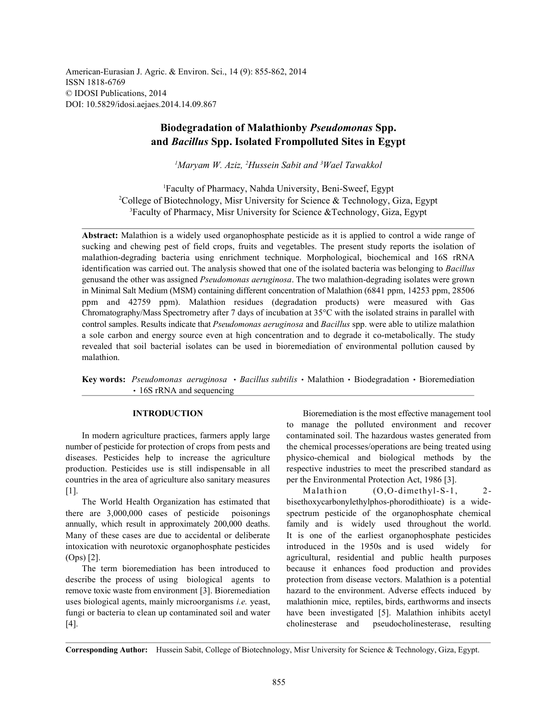American-Eurasian J. Agric. & Environ. Sci., 14 (9): 855-862, 2014 ISSN 1818-6769 © IDOSI Publications, 2014 DOI: 10.5829/idosi.aejaes.2014.14.09.867

# **Biodegradation of Malathionby** *Pseudomonas* **Spp. and** *Bacillus* **Spp. Isolated Frompolluted Sites in Egypt**

<sup>1</sup>Maryam *W. Aziz, <sup>2</sup>Hussein Sabit and <sup>3</sup>Wael Tawakkol* 

Faculty of Pharmacy, Nahda University, Beni-Sweef, Egypt <sup>1</sup> <sup>2</sup>College of Biotechnology, Misr University for Science & Technology, Giza, Egypt  ${}^{3}$ Faculty of Pharmacy, Misr University for Science &Technology, Giza, Egypt

**Abstract:** Malathion is a widely used organophosphate pesticide as it is applied to control a wide range of sucking and chewing pest of field crops, fruits and vegetables. The present study reports the isolation of malathion-degrading bacteria using enrichment technique. Morphological, biochemical and 16S rRNA identification was carried out. The analysis showed that one of the isolated bacteria was belonging to *Bacillus* genusand the other was assigned *Pseudomonas aeruginosa*. The two malathion-degrading isolates were grown in Minimal Salt Medium (MSM) containing different concentration of Malathion (6841 ppm, 14253 ppm, 28506 ppm and 42759 ppm). Malathion residues (degradation products) were measured with Gas Chromatography/Mass Spectrometry after 7 days of incubation at 35°C with the isolated strains in parallel with control samples. Results indicate that *Pseudomonas aeruginosa* and *Bacillus* spp. were able to utilize malathion a sole carbon and energy source even at high concentration and to degrade it co-metabolically. The study revealed that soil bacterial isolates can be used in bioremediation of environmental pollution caused by malathion.

Key words: Pseudomonas aeruginosa · Bacillus subtilis · Malathion · Biodegradation · Bioremediation • 16S rRNA and sequencing

number of pesticide for protection of crops from pests and the chemical processes/operations are being treated using diseases. Pesticides help to increase the agriculture physico-chemical and biological methods by the production. Pesticides use is still indispensable in all respective industries to meet the prescribed standard as countries in the area of agriculture also sanitary measures per the Environmental Protection Act, 1986 [3]. [1]. Malathion (O,O-dimethyl-S-1, 2-

there are 3,000,000 cases of pesticide poisonings spectrum pesticide of the organophosphate chemical annually, which result in approximately 200,000 deaths. family and is widely used throughout the world. Many of these cases are due to accidental or deliberate It is one of the earliest organophosphate pesticides intoxication with neurotoxic organophosphate pesticides introduced in the 1950s and is used widely for (Ops) [2]. agricultural, residential and public health purposes

describe the process of using biological agents to protection from disease vectors. Malathion is a potential remove toxic waste from environment [3]. Bioremediation hazard to the environment. Adverse effects induced by uses biological agents, mainly microorganisms *i.e.* yeast, malathionin mice, reptiles, birds, earthworms and insects fungi or bacteria to clean up contaminated soil and water have been investigated [5]. Malathion inhibits acetyl [4]. cholinesterase and pseudocholinesterase, resulting

**INTRODUCTION** Bioremediation is the most effective management tool In modern agriculture practices, farmers apply large contaminated soil. The hazardous wastes generated from to manage the polluted environment and recover

The World Health Organization has estimated that bisethoxycarbonylethylphos-phorodithioate) is a wide-The term bioremediation has been introduced to because it enhances food production and provides

**Corresponding Author:** Hussein Sabit, College of Biotechnology, Misr University for Science & Technology, Giza, Egypt.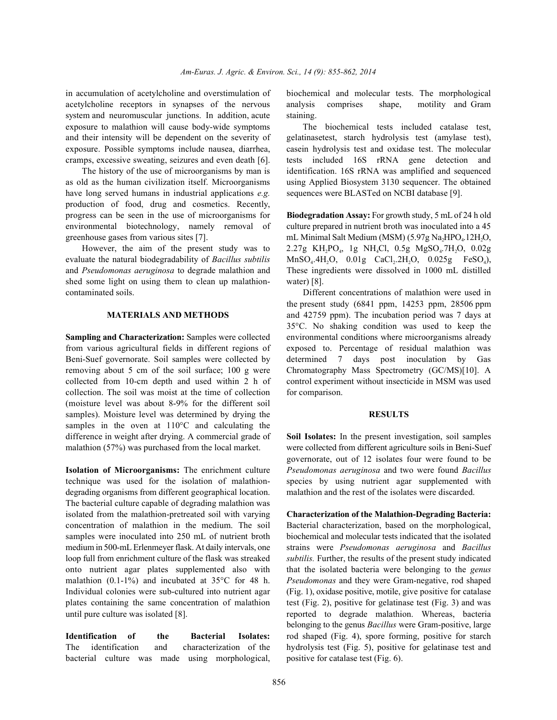in accumulation of acetylcholine and overstimulation of biochemical and molecular tests. The morphological acetylcholine receptors in synapses of the nervous analysis comprises shape, motility and Gram system and neuromuscular junctions. In addition, acute staining. exposure to malathion will cause body-wide symptoms The biochemical tests included catalase test, and their intensity will be dependent on the severity of gelatinasetest, starch hydrolysis test (amylase test), exposure. Possible symptoms include nausea, diarrhea, casein hydrolysis test and oxidase test. The molecular cramps, excessive sweating, seizures and even death [6]. tests included 16S rRNA gene detection and

as old as the human civilization itself. Microorganisms using Applied Biosystem 3130 sequencer. The obtained have long served humans in industrial applications *e.g.* sequences were BLASTed on NCBI database [9]. production of food, drug and cosmetics. Recently, progress can be seen in the use of microorganisms for **Biodegradation Assay:** For growth study, 5 mL of 24 h old environmental biotechnology, namely removal of culture prepared in nutrient broth was inoculated into a 45

evaluate the natural biodegradability of *Bacillus subtilis* MnSO<sub>4</sub>.4H<sub>2</sub>O, 0.01g CaCl<sub>2</sub>.2H<sub>2</sub>O, 0.025g FeSO<sub>4</sub>), and *Pseudomonas aeruginosa* to degrade malathion and These ingredients were dissolved in 1000 mL distilled shed some light on using them to clean up malathion- water) [8]. contaminated soils. Different concentrations of malathion were used in

from various agricultural fields in different regions of exposed to. Percentage of residual malathion was Beni-Suef governorate. Soil samples were collected by determined 7 days post inoculation by Gas removing about 5 cm of the soil surface; 100 g were Chromatography Mass Spectrometry (GC/MS)[10]. A collected from 10-cm depth and used within 2 h of control experiment without insecticide in MSM was used collection. The soil was moist at the time of collection for comparison. (moisture level was about 8-9% for the different soil samples). Moisture level was determined by drying the **RESULTS** samples in the oven at 110°C and calculating the difference in weight after drying. A commercial grade of **Soil Isolates:** In the present investigation, soil samples malathion (57%) was purchased from the local market. were collected from different agriculture soils in Beni-Suef

technique was used for the isolation of malathion- species by using nutrient agar supplemented with degrading organisms from different geographical location. malathion and the rest of the isolates were discarded. The bacterial culture capable of degrading malathion was isolated from the malathion-pretreated soil with varying **Characterization of the Malathion-Degrading Bacteria:** concentration of malathion in the medium. The soil Bacterial characterization, based on the morphological, samples were inoculated into 250 mL of nutrient broth biochemical and molecular tests indicated that the isolated medium in 500-mL Erlenmeyer flask. At daily intervals, one strains were *Pseudomonas aeruginosa* and *Bacillus* loop full from enrichment culture of the flask was streaked *subtilis.* Further, the results of the present study indicated onto nutrient agar plates supplemented also with that the isolated bacteria were belonging to the *genus* malathion (0.1-1%) and incubated at 35°C for 48 h. *Pseudomonas* and they were Gram-negative, rod shaped Individual colonies were sub-cultured into nutrient agar (Fig. 1), oxidase positive, motile, give positive for catalase plates containing the same concentration of malathion test (Fig. 2), positive for gelatinase test (Fig. 3) and was until pure culture was isolated [8]. The reported to degrade malathion. Whereas, bacteria

bacterial culture was made using morphological, positive for catalase test (Fig. 6).

The history of the use of microorganisms by man is identification. 16S rRNA was amplified and sequenced

greenhouse gases from various sites [7]. mL Minimal Salt Medium (MSM)  $(5.97g\ Na<sub>2</sub>HPO<sub>4</sub>.12H<sub>2</sub>O,$ However, the aim of the present study was to  $2.27g$  KH<sub>2</sub>PO<sub>4</sub>, 1g NH<sub>4</sub>Cl, 0.5g MgSO<sub>4</sub>.7H<sub>2</sub>O, 0.02g

**MATERIALS AND METHODS** and 42759 ppm). The incubation period was 7 days at **Sampling and Characterization:** Samples were collected environmental conditions where microorganisms already the present study (6841 ppm, 14253 ppm, 28506 ppm 35°C. No shaking condition was used to keep the

**Isolation of Microorganisms:** The enrichment culture *Pseudomonas aeruginosa* and two were found *Bacillus* governorate, out of 12 isolates four were found to be

**Identification of the Bacterial Isolates:** rod shaped (Fig. 4), spore forming, positive for starch The identification and characterization of the hydrolysis test (Fig. 5), positive for gelatinase test and belonging to the genus *Bacillus* were Gram-positive, large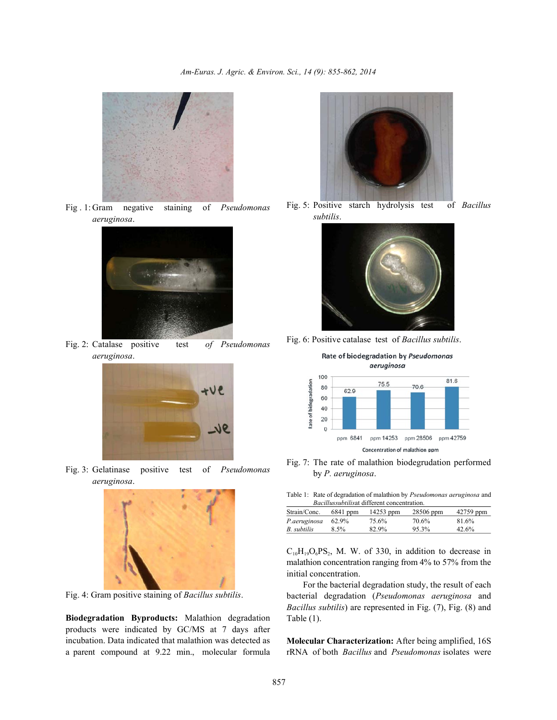

Fig . 1: Gram negative staining of *Pseudomonas aeruginosa*.



Fig. 2: Catalase positive test *of Pseudomonas aeruginosa*.



Fig. 3: Gelatinase positive test of *Pseudomonas aeruginosa*.



Fig. 4: Gram positive staining of *Bacillus subtilis*.

**Biodegradation Byproducts:** Malathion degradation products were indicated by GC/MS at 7 days after incubation. Data indicated that malathion was detected as a parent compound at 9.22 min., molecular formula



Fig. 5: Positive starch hydrolysis test of *Bacillus subtilis*.



Fig. 6: Positive catalase test of *Bacillus subtilis*.



Fig. 7: The rate of malathion biodegrudation performed by *P. aeruginosa*.

Table 1: Rate of degradation of malathion by *Pseudomonas aeruginosa* and *Bacillussubtilis*at different concentration.

| Strain/Conc. | $6841$ ppm | 14253 ppm | 28506 ppm | 42759 ppm |  |  |  |  |
|--------------|------------|-----------|-----------|-----------|--|--|--|--|
| P.aeruginosa | 62.9%      | 75.6%     | 70.6%     | 81.6%     |  |  |  |  |
| B. subtilis  | 8.5%       | 82.9%     | 95.3%     | 42.6%     |  |  |  |  |

 $C_{10}H_{19}O_6PS_2$ , M. W. of 330, in addition to decrease in malathion concentration ranging from 4% to 57% from the initial concentration.

For the bacterial degradation study, the result of each bacterial degradation (*Pseudomonas aeruginosa* and *Bacillus subtilis*) are represented in Fig. (7), Fig. (8) and Table (1).

**Molecular Characterization:** After being amplified, 16S rRNA of both *Bacillus* and *Pseudomonas* isolates were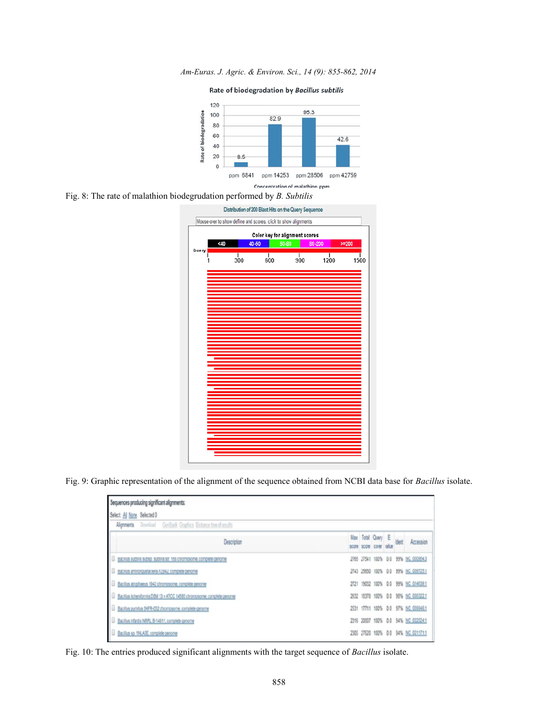*Am-Euras. J. Agric. & Environ. Sci., 14 (9): 855-862, 2014*

Rate of biodegradation by Bacillus subtilis



Fig. 8: The rate of malathion biodegrudation performed by *B. Subtilis*



Fig. 9: Graphic representation of the alignment of the sequence obtained from NCBI data base for *Bacillus* isolate.

| Sequences producing significant alignments:                                 |  |                                              |  |                                     |
|-----------------------------------------------------------------------------|--|----------------------------------------------|--|-------------------------------------|
| Select All None Selected 0                                                  |  |                                              |  |                                     |
| <b>Algrenents</b> Download GorBank Graphics Distance free of results        |  |                                              |  |                                     |
| Description                                                                 |  | Max Total Query E<br>score score cover raiue |  | Accession                           |
| Ш<br>Bacillus subtilis subsp. subtilis str. 168 chromosome, complete genome |  |                                              |  | 2765 27541 100% 0.0 99% NC 000954.3 |
| Bacillus amvioliquefaciens FZB42, complete genome<br>I U                    |  |                                              |  | 2743 25650 100% 0.0 99% NC 009725.1 |
| Bacillus atrophaeus 1942 chromosome, complete genome                        |  |                                              |  | 2721 19032 100% 0.0 99% NC 014639:1 |
| Bacillus lichenformis DSM 13 = ATCC 14580 chromosome, complete genome       |  |                                              |  | 2632 18378 100% 0.0 98% NC 006322.1 |
| Bacillus pumilus SAFR-032 chromosome, complete genome                       |  |                                              |  | 2531 17711 100% 0.0 97% NC 009848.1 |
| Bacillus infantis NRRL B-14911, complete genome                             |  |                                              |  | 2316 20807 100% 0.0 94% NC 022524.1 |
| Bacillus sp. 1NLA3E, complete genome                                        |  |                                              |  | 2305 27628 100% 0.0 94% NC 021171.1 |

Fig. 10: The entries produced significant alignments with the target sequence of *Bacillus* isolate.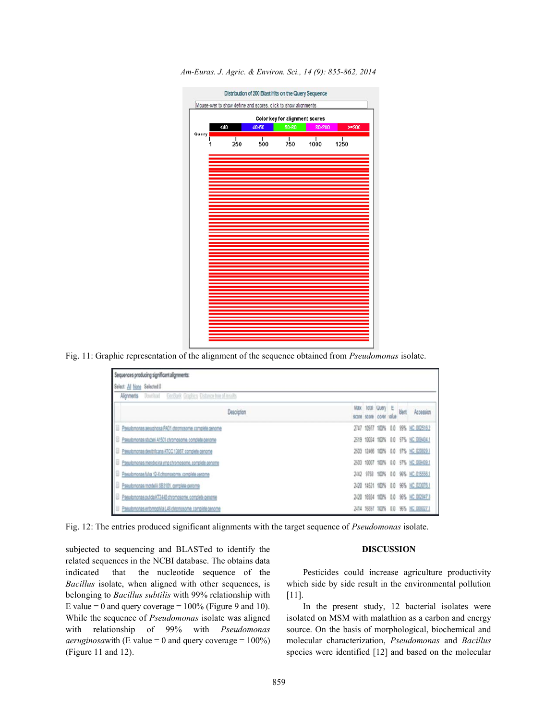

*Am-Euras. J. Agric. & Environ. Sci., 14 (9): 855-862, 2014*

Fig. 11: Graphic representation of the alignment of the sequence obtained from *Pseudomonas* isolate.

| Sequences producing significant alignments:                              |  |                                              |  |                                     |
|--------------------------------------------------------------------------|--|----------------------------------------------|--|-------------------------------------|
| Select: All None Selected:0                                              |  |                                              |  |                                     |
| GerBank Graphics Distance two of results<br>Dowload<br><b>Alignments</b> |  |                                              |  |                                     |
| Description                                                              |  | Max Total Query E<br>score score cover value |  | Accession                           |
| Pseudomonas aeruginosa PAO1 chromosome, complete genome                  |  | 2747 10977 100% 0.0                          |  | 99% NC 002516.2                     |
| Pseudomonas stutteri A1501 chromosome, complete genome                   |  |                                              |  | 2519 10024 100% 0.0 97% NC 009434.1 |
| Pseudomonas denitificans ATCC 13857, complete genome                     |  |                                              |  | 2503 12466 100% 0.0 97% NC 020829.1 |
| Pseudomonas mendocina ymp chromosome, complete genome                    |  |                                              |  | 2503 10007 100% 0.0 97% NC 009439.1 |
| Pseudomonas fulva 12-X chromosome, complete genome                       |  |                                              |  | 2442 9758 100% 0.0 96% NC 015556.1  |
| Pseudomonas mortelli SB3101, complete penome                             |  |                                              |  | 2420 14521 100% 0.0 96% NC 023076.1 |
| Pseudomonas putida KT2440 chromosome, complete genome-                   |  |                                              |  | 2420 16924 100% 0.0 96% NC 002947.3 |
| Pseudomonas entomochila L48 chromosome, corriclete genome                |  |                                              |  | 16897 100% 0.0 96% NC 008027.1      |

Fig. 12: The entries produced significant alignments with the target sequence of *Pseudomonas* isolate.

subjected to sequencing and BLASTed to identify the **DISCUSSION** related sequences in the NCBI database. The obtains data indicated that the nucleotide sequence of the Pesticides could increase agriculture productivity *Bacillus* isolate, when aligned with other sequences, is which side by side result in the environmental pollution belonging to *Bacillus subtilis* with 99% relationship with [11]. E value = 0 and query coverage =  $100\%$  (Figure 9 and 10). In the present study, 12 bacterial isolates were While the sequence of *Pseudomonas* isolate was aligned isolated on MSM with malathion as a carbon and energy with relationship of 99% with *Pseudomonas* source. On the basis of morphological, biochemical and *aeruginosa*with (E value = 0 and query coverage = 100%) molecular characterization, *Pseudomonas* and *Bacillus* (Figure 11 and 12). species were identified [12] and based on the molecular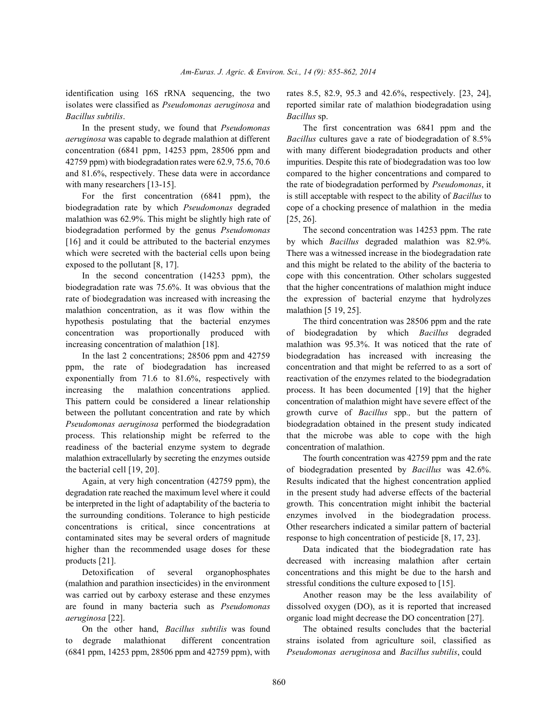*Bacillus subtilis*. *Bacillus* sp.

*aeruginosa* was capable to degrade malathion at different *Bacillus* cultures gave a rate of biodegradation of 8.5% concentration (6841 ppm, 14253 ppm, 28506 ppm and with many different biodegradation products and other 42759 ppm) with biodegradation rates were 62.9, 75.6, 70.6 impurities. Despite this rate of biodegradation was too low and 81.6%, respectively. These data were in accordance compared to the higher concentrations and compared to with many researchers [13-15]. the rate of biodegradation performed by *Pseudomonas*, it

biodegradation rate by which *Pseudomonas* degraded cope of a chocking presence of malathion in the media malathion was  $62.9\%$ . This might be slightly high rate of [25, 26]. biodegradation performed by the genus *Pseudomonas* The second concentration was 14253 ppm. The rate [16] and it could be attributed to the bacterial enzymes by which *Bacillus* degraded malathion was 82.9%. which were secreted with the bacterial cells upon being There was a witnessed increase in the biodegradation rate exposed to the pollutant [8, 17]. and this might be related to the ability of the bacteria to

biodegradation rate was 75.6%. It was obvious that the that the higher concentrations of malathion might induce rate of biodegradation was increased with increasing the the expression of bacterial enzyme that hydrolyzes malathion concentration, as it was flow within the malathion [5 19, 25]. hypothesis postulating that the bacterial enzymes The third concentration was 28506 ppm and the rate concentration was proportionally produced with of biodegradation by which *Bacillus* degraded increasing concentration of malathion [18]. malathion was 95.3%. It was noticed that the rate of

ppm, the rate of biodegradation has increased concentration and that might be referred to as a sort of exponentially from 71.6 to 81.6%, respectively with reactivation of the enzymes related to the biodegradation increasing the malathion concentrations applied. process. It has been documented [19] that the higher This pattern could be considered a linear relationship concentration of malathion might have severe effect of the between the pollutant concentration and rate by which growth curve of *Bacillus* spp*.,* but the pattern of *Pseudomonas aeruginosa* performed the biodegradation biodegradation obtained in the present study indicated process. This relationship might be referred to the that the microbe was able to cope with the high readiness of the bacterial enzyme system to degrade concentration of malathion. malathion extracellularly by secreting the enzymes outside The fourth concentration was 42759 ppm and the rate the bacterial cell [19, 20]. of biodegradation presented by *Bacillus* was 42.6%.

degradation rate reached the maximum level where it could in the present study had adverse effects of the bacterial be interpreted in the light of adaptability of the bacteria to growth. This concentration might inhibit the bacterial the surrounding conditions. Tolerance to high pesticide enzymes involved in the biodegradation process. concentrations is critical, since concentrations at Other researchers indicated a similar pattern of bacterial contaminated sites may be several orders of magnitude response to high concentration of pesticide [8, 17, 23]. higher than the recommended usage doses for these Data indicated that the biodegradation rate has products [21]. decreased with increasing malathion after certain

(malathion and parathion insecticides) in the environment stressful conditions the culture exposed to [15]. was carried out by carboxy esterase and these enzymes Another reason may be the less availability of are found in many bacteria such as *Pseudomonas* dissolved oxygen (DO), as it is reported that increased *aeruginosa* [22]. *aeruginosa* [22].

to degrade malathionat different concentration strains isolated from agriculture soil, classified as (6841 ppm, 14253 ppm, 28506 ppm and 42759 ppm), with *Pseudomonas aeruginosa* and *Bacillus subtilis*, could

identification using 16S rRNA sequencing, the two rates 8.5, 82.9, 95.3 and 42.6%, respectively. [23, 24], isolates were classified as *Pseudomonas aeruginosa* and reported similar rate of malathion biodegradation using

In the present study, we found that *Pseudomonas* The first concentration was 6841 ppm and the For the first concentration (6841 ppm), the is still acceptable with respect to the ability of *Bacillus* to

In the second concentration (14253 ppm), the cope with this concentration. Other scholars suggested

In the last 2 concentrations; 28506 ppm and 42759 biodegradation has increased with increasing the

Again, at very high concentration (42759 ppm), the Results indicated that the highest concentration applied

Detoxification of several organophosphates concentrations and this might be due to the harsh and

On the other hand, *Bacillus subtilis* was found The obtained results concludes that the bacterial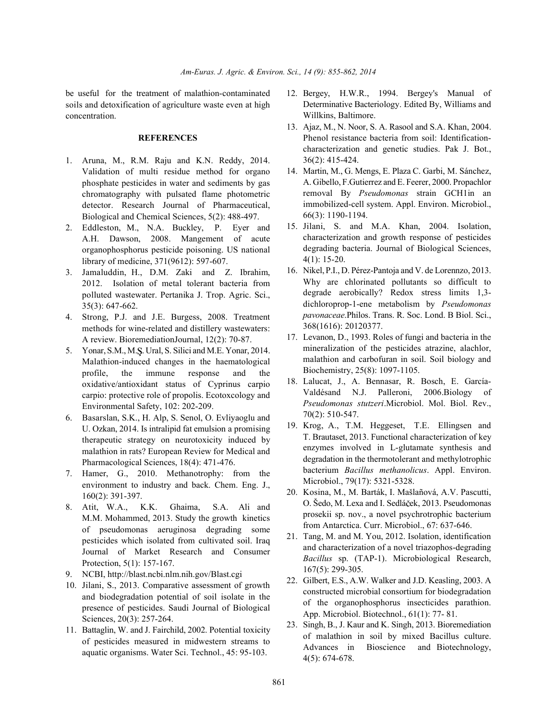soils and detoxification of agriculture waste even at high concentration.

## **REFERENCES**

- 1. Aruna, M., R.M. Raju and K.N. Reddy, 2014. Validation of multi residue method for organo phosphate pesticides in water and sediments by gas chromatography with pulsated flame photometric detector. Research Journal of Pharmaceutical, Biological and Chemical Sciences, 5(2): 488-497.
- 2. Eddleston, M., N.A. Buckley, P. Eyer and A.H. Dawson, 2008. Mangement of acute organophosphorus pesticide poisoning. US national library of medicine, 371(9612): 597-607.
- 3. Jamaluddin, H., D.M. Zaki and Z. Ibrahim, 2012. Isolation of metal tolerant bacteria from polluted wastewater. Pertanika J. Trop. Agric. Sci., 35(3): 647-662.
- 4. Strong, P.J. and J.E. Burgess, 2008. Treatment methods for wine-related and distillery wastewaters: A review. BioremediationJournal, 12(2): 70-87.
- 5. Yonar, S.M., M.S. Ural, S. Silici and M.E. Yonar, 2014. Malathion-induced changes in the haematological profile, the immune response and the oxidative/antioxidant status of Cyprinus carpio carpio: protective role of propolis. Ecotoxcology and Environmental Safety, 102: 202-209.
- 6. Basarslan, S.K., H. Alp, S. Senol, O. Evliyaoglu and U. Ozkan, 2014. Is intralipid fat emulsion a promising therapeutic strategy on neurotoxicity induced by malathion in rats? European Review for Medical and Pharmacological Sciences, 18(4): 471-476.
- 7. Hamer, G., 2010. Methanotrophy: from the environment to industry and back. Chem. Eng. J., 160(2): 391-397.
- 8. Atit, W.A., K.K. Ghaima, S.A. Ali and M.M. Mohammed, 2013. Study the growth kinetics of pseudomonas aeruginosa degrading some pesticides which isolated from cultivated soil. Iraq Journal of Market Research and Consumer Protection, 5(1): 157-167.
- 9. NCBI, http://blast.ncbi.nlm.nih.gov/Blast.cgi
- 10. Jilani, S., 2013. Comparative assessment of growth and biodegradation potential of soil isolate in the presence of pesticides. Saudi Journal of Biological Sciences, 20(3): 257-264.
- 11. Battaglin, W. and J. Fairchild, 2002. Potential toxicity of pesticides measured in midwestern streams to aquatic organisms. Water Sci. Technol., 45: 95-103.
- be useful for the treatment of malathion-contaminated 12. Bergey, H.W.R., 1994. Bergey's Manual of Determinative Bacteriology. Edited By, Williams and Willkins, Baltimore.
	- 13. Ajaz, M., N. Noor, S. A. Rasool and S.A. Khan, 2004. Phenol resistance bacteria from soil: Identificationcharacterization and genetic studies. Pak J. Bot., 36(2): 415-424.
	- 14. Martin, M., G. Mengs, E. Plaza C. Garbi, M. Sánchez, A. Gibello, F.Gutierrez and E. Feerer, 2000. Propachlor removal By *Pseudomonas* strain GCH1in an immobilized-cell system. Appl. Environ. Microbiol., 66(3): 1190-1194.
	- 15. Jilani, S. and M.A. Khan, 2004. Isolation, characterization and growth response of pesticides degrading bacteria. Journal of Biological Sciences, 4(1): 15-20.
	- 16. Nikel, P.I., D. Pérez-Pantoja and V. de Lorennzo, 2013. Why are chlorinated pollutants so difficult to degrade aerobically? Redox stress limits 1,3 dichloroprop-1-ene metabolism by *Pseudomonas pavonaceae*.Philos. Trans. R. Soc. Lond. B Biol. Sci., 368(1616): 20120377.
	- 17. Levanon, D., 1993. Roles of fungi and bacteria in the mineralization of the pesticides atrazine, alachlor, malathion and carbofuran in soil. Soil biology and Biochemistry, 25(8): 1097-1105.
	- 18. Lalucat, J., A. Bennasar, R. Bosch, E. García-Valdésand N.J. Palleroni, 2006.Biology of *Pseudomonas stutzeri*.Microbiol. Mol. Biol. Rev., 70(2): 510-547.
	- 19. Krog, A., T.M. Heggeset, T.E. Ellingsen and T. Brautaset, 2013. Functional characterization of key enzymes involved in L-glutamate synthesis and degradation in the thermotolerant and methylotrophic bacterium *Bacillus methanolicus*. Appl. Environ. Microbiol., 79(17): 5321-5328.
	- 20. Kosina, M., M. Barták, I. Mašlañová, A.V. Pascutti, O. Šedo, M. Lexa and I. Sedláček, 2013. Pseudomonas prosekii sp. nov., a novel psychrotrophic bacterium from Antarctica. Curr. Microbiol., 67: 637-646.
	- 21. Tang, M. and M. You, 2012. Isolation, identification and characterization of a novel triazophos-degrading *Bacillus* sp. (TAP-1). Microbiological Research, 167(5): 299-305.
	- 22. Gilbert, E.S., A.W. Walker and J.D. Keasling, 2003. A constructed microbial consortium for biodegradation of the organophosphorus insecticides parathion. App. Microbiol. Biotechnol., 61(1): 77- 81.
	- 23. Singh, B., J. Kaur and K. Singh, 2013. Bioremediation of malathion in soil by mixed Bacillus culture. Advances in Bioscience and Biotechnology, 4(5): 674-678.